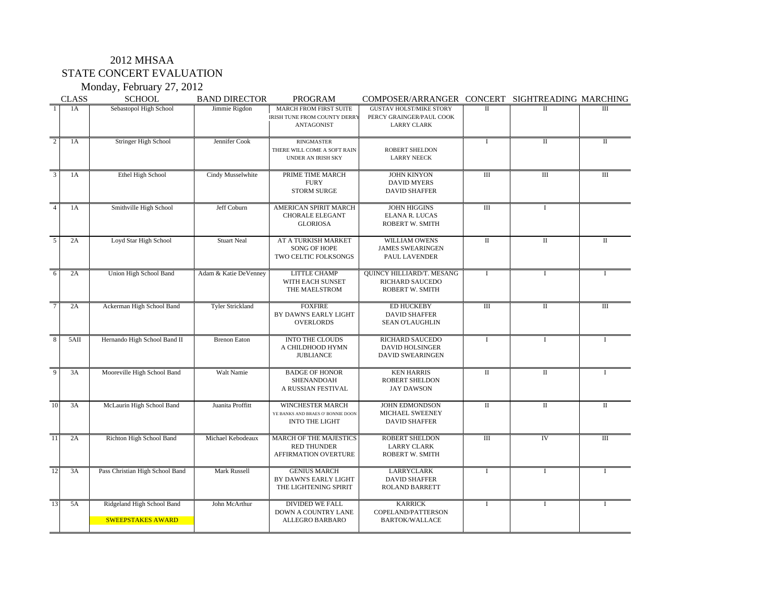### 2012 MHSAA STATE CONCERT EVALUATION

Monday, February 27, 2012

|                 | <b>CLASS</b> | <b>SCHOOL</b>                                          | <b>BAND DIRECTOR</b>    | <b>PROGRAM</b>                                                                        | COMPOSER/ARRANGER CONCERT SIGHTREADING MARCHING                                  |                         |                         |                  |
|-----------------|--------------|--------------------------------------------------------|-------------------------|---------------------------------------------------------------------------------------|----------------------------------------------------------------------------------|-------------------------|-------------------------|------------------|
| $\overline{1}$  | 1A           | Sebastopol High School                                 | Jimmie Rigdon           | MARCH FROM FIRST SUITE<br><b>IRISH TUNE FROM COUNTY DERRY</b><br><b>ANTAGONIST</b>    | <b>GUSTAV HOLST/MIKE STORY</b><br>PERCY GRAINGER/PAUL COOK<br><b>LARRY CLARK</b> | $\Pi$                   | $\Pi$                   | III              |
| $\overline{2}$  | 1A           | Stringer High School                                   | Jennifer Cook           | <b>RINGMASTER</b><br>THERE WILL COME A SOFT RAIN<br><b>UNDER AN IRISH SKY</b>         | <b>ROBERT SHELDON</b><br><b>LARRY NEECK</b>                                      | $\bf{I}$                | $\overline{\mathbf{H}}$ | $\mathbf{I}$     |
| 3               | 1A           | Ethel High School                                      | Cindy Musselwhite       | PRIME TIME MARCH<br><b>FURY</b><br><b>STORM SURGE</b>                                 | <b>JOHN KINYON</b><br><b>DAVID MYERS</b><br><b>DAVID SHAFFER</b>                 | $\overline{III}$        | $\overline{III}$        | III              |
| $\overline{4}$  | 1A           | Smithville High School                                 | Jeff Coburn             | AMERICAN SPIRIT MARCH<br><b>CHORALE ELEGANT</b><br><b>GLORIOSA</b>                    | <b>JOHN HIGGINS</b><br>ELANA R. LUCAS<br>ROBERT W. SMITH                         | $\overline{III}$        | $\mathbf{I}$            |                  |
| $\overline{5}$  | 2A           | Loyd Star High School                                  | <b>Stuart Neal</b>      | AT A TURKISH MARKET<br><b>SONG OF HOPE</b><br>TWO CELTIC FOLKSONGS                    | WILLIAM OWENS<br><b>JAMES SWEARINGEN</b><br>PAUL LAVENDER                        | $\overline{\mathbf{u}}$ | $\overline{\mathbf{H}}$ | $\mathbf{H}$     |
| 6               | 2A           | Union High School Band                                 | Adam & Katie DeVenney   | LITTLE CHAMP<br>WITH EACH SUNSET<br>THE MAELSTROM                                     | QUINCY HILLIARD/T. MESANG<br>RICHARD SAUCEDO<br>ROBERT W. SMITH                  | $\mathbf I$             | I                       | $\mathbf{I}$     |
| $\tau$          | 2A           | Ackerman High School Band                              | <b>Tyler Strickland</b> | <b>FOXFIRE</b><br>BY DAWN'S EARLY LIGHT<br><b>OVERLORDS</b>                           | <b>ED HUCKEBY</b><br><b>DAVID SHAFFER</b><br><b>SEAN O'LAUGHLIN</b>              | $\overline{III}$        | $\overline{\mathbf{H}}$ | $\overline{III}$ |
| 8               | 5AII         | Hernando High School Band II                           | <b>Brenon Eaton</b>     | <b>INTO THE CLOUDS</b><br>A CHILDHOOD HYMN<br><b>JUBLIANCE</b>                        | RICHARD SAUCEDO<br><b>DAVID HOLSINGER</b><br><b>DAVID SWEARINGEN</b>             | $\mathbf{I}$            | $\mathbf{I}$            | T                |
| $\overline{9}$  | 3A           | Mooreville High School Band                            | Walt Namie              | <b>BADGE OF HONOR</b><br>SHENANDOAH<br>A RUSSIAN FESTIVAL                             | <b>KEN HARRIS</b><br>ROBERT SHELDON<br><b>JAY DAWSON</b>                         | $\overline{\rm II}$     | $\overline{\mathbf{H}}$ | L                |
| 10              | 3A           | McLaurin High School Band                              | Juanita Proffitt        | <b>WINCHESTER MARCH</b><br>YE BANKS AND BRAES O' BONNIE DOON<br><b>INTO THE LIGHT</b> | <b>JOHN EDMONDSON</b><br>MICHAEL SWEENEY<br><b>DAVID SHAFFER</b>                 | $\overline{\mathbf{u}}$ | $\overline{\mathbf{H}}$ | $\Pi$            |
| $\overline{11}$ | 2A           | Richton High School Band                               | Michael Kebodeaux       | <b>MARCH OF THE MAJESTICS</b><br><b>RED THUNDER</b><br>AFFIRMATION OVERTURE           | <b>ROBERT SHELDON</b><br><b>LARRY CLARK</b><br>ROBERT W. SMITH                   | Ш                       | <b>IV</b>               | $\overline{III}$ |
| $\overline{12}$ | 3A           | Pass Christian High School Band                        | Mark Russell            | <b>GENIUS MARCH</b><br>BY DAWN'S EARLY LIGHT<br>THE LIGHTENING SPIRIT                 | LARRYCLARK<br><b>DAVID SHAFFER</b><br><b>ROLAND BARRETT</b>                      | <b>I</b>                | 1                       | T                |
| $\overline{13}$ | 5A           | Ridgeland High School Band<br><b>SWEEPSTAKES AWARD</b> | John McArthur           | <b>DIVIDED WE FALL</b><br>DOWN A COUNTRY LANE<br>ALLEGRO BARBARO                      | <b>KARRICK</b><br>COPELAND/PATTERSON<br><b>BARTOK/WALLACE</b>                    | $\bf{I}$                | $\mathbf I$             | $\mathbf I$      |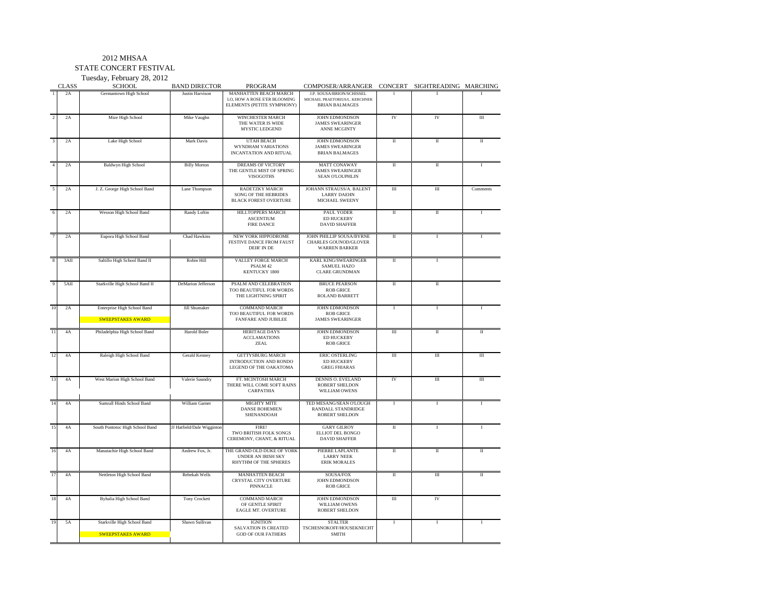#### 2012 MHSAA

STATE CONCERT FESTIVAL

Tuesday, February 28, 2012

|                      | <b>CLASS</b> | Tuesday, February 28, 2012<br><b>SCHOOL</b>             | <b>BAND DIRECTOR</b>       | PROGRAM                                                                              | COMPOSER/ARRANGER CONCERT SIGHTREADING MARCHING                                      |                      |                      |                      |
|----------------------|--------------|---------------------------------------------------------|----------------------------|--------------------------------------------------------------------------------------|--------------------------------------------------------------------------------------|----------------------|----------------------|----------------------|
|                      | 2A           | Germantown High School                                  | Justin Harvison            | MANHATTEN BEACH MARCH<br>LO, HOW A ROSE E'ER BLOOMING<br>ELEMENTS (PETITE SYMPHONY)  | J.P. SOUSA/BRION/SCHISSEL<br>MICHAEL PRAETORIUS/L. KERCHNER<br><b>BRIAN BALMAGES</b> |                      |                      |                      |
| $\overline{2}$       | 2A           | Mize High School                                        | Mike Vaughn                | <b>WINCHESTER MARCH</b><br>THE WATER IS WIDE<br>MYSTIC LEDGEND                       | <b>JOHN EDMONDSON</b><br><b>JAMES SWEARINGER</b><br><b>ANNE MCGINTY</b>              | IV                   | IV                   | Ш                    |
| $\mathbf{3}$         | 2A           | Lake High School                                        | Mark Davis                 | UTAH BEACH<br>WYNDHAM VARIATIONS<br>INCANTATION AND RITUAL                           | JOHN EDMONDSON<br><b>JAMES SWEARINGER</b><br><b>BRIAN BALMAGES</b>                   | П                    | $\scriptstyle\rm II$ | $\rm II$             |
|                      | 2A           | <b>Baldwyn High School</b>                              | <b>Billy Morton</b>        | <b>DREAMS OF VICTORY</b><br>THE GENTLE MIST OF SPRING<br><b>VISOGOTHS</b>            | <b>MATT CONAWAY</b><br><b>JAMES SWEARINGER</b><br><b>SEAN O'LOUPHLIN</b>             | П                    | П                    | T                    |
| $\tilde{\mathbf{z}}$ | 2A           | J. Z. George High School Band                           | Lane Thompson              | <b>RADETZKY MARCH</b><br><b>SONG OF THE HEBRIDES</b><br><b>BLACK FOREST OVERTURE</b> | JOHANN STRAUSS/A. BALENT<br><b>LARRY DAEHN</b><br><b>MICHAEL SWEENY</b>              | Ш                    | $\overline{m}$       | Comments             |
|                      | 2A           | Wesson High School Band                                 | Randy Loftin               | HILLTOPPERS MARCH<br><b>ASCENTIUM</b><br><b>FIRE DANCE</b>                           | PAUL YODER<br>ED HUCKEBY<br><b>DAVID SHAFFER</b>                                     | $\rm II$             | $\scriptstyle\rm II$ | I                    |
|                      | 2A           | Eupora High School Band                                 | <b>Chad Hawkins</b>        | <b>NEW YORK HIPPODROME</b><br>FESTIVE DANCE FROM FAUST<br>DEIR' IN DE                | JOHN PHILLIP SOUSA/BYRNE<br><b>CHARLES GOUNOD/GLOVER</b><br><b>WARREN BARKER</b>     | П                    | 1                    | 1                    |
| 8                    | 3AII         | Saltillo High School Band II                            | Robin Hill                 | VALLEY FORGE MARCH<br>PSALM 42<br><b>KENTUCKY 1800</b>                               | KARL KING/SWEARINGER<br>SAMUEL HAZO<br><b>CLARE GRUNDMAN</b>                         | $\scriptstyle\rm II$ | $\bf{I}$             |                      |
|                      | 5AII         | Starkville High School Band II                          | DeMarion Jefferson         | PSALM AND CELEBRATION<br>TOO BEAUTIFUL FOR WORDS<br>THE LIGHTNING SPIRIT             | <b>BRUCE PEARSON</b><br><b>ROB GRICE</b><br>ROLAND BARRETT                           | $\scriptstyle\rm II$ | π                    |                      |
| 10                   | 2A           | Enterprise High School Band<br><b>SWEEPSTAKES AWARD</b> | Jill Shumaker              | <b>COMMAND MARCH</b><br>TOO BEAUTIFUL FOR WORDS<br><b>FANFARE AND JUBILEE</b>        | JOHN EDMONDSON<br><b>ROB GRICE</b><br><b>JAMES SWEARINGER</b>                        | L                    | T.                   | I                    |
| 11                   | 4A           | Philadelphia High School Band                           | <b>Harold Boler</b>        | <b>HERITAGE DAYS</b><br><b>ACCLAMATIONS</b><br>ZEAL                                  | JOHN EDMONDSON<br>ED HUCKEBY<br><b>ROB GRICE</b>                                     | Ш                    | П                    | Π                    |
| 12                   | 4A           | Raleigh High School Band                                | Gerald Kenney              | <b>GETTYSBURG MARCH</b><br>INTRODUCTION AND RONDO<br>LEGEND OF THE OAKATOMA          | <b>ERIC OSTERLING</b><br><b>ED HUCKEBY</b><br><b>GREG FHIARAS</b>                    | Ш                    | Ш                    | Ш                    |
| 13                   | 4A           | West Marion High School Band                            | Valerie Saundry            | FT. MCINTOSH MARCH<br>THERE WILL COME SOFT RAINS<br>CARPATHIA                        | DENNIS O. EVELAND<br><b>ROBERT SHELDON</b><br>WILLIAM OWENS                          | IV                   | Ш                    | III                  |
| 14                   | 4A           | Sumrall Hinds School Band                               | William Garner             | <b>MIGHTY MITE</b><br><b>DANSE BOHEMIEN</b><br>SHENANDOAH                            | TED MESANG/SEAN O'LOUGH<br>RANDALL STANDRIDGE<br><b>ROBERT SHELDON</b>               | 1                    | 1                    | T                    |
| 15                   | 4A           | South Pontotoc High School Band                         | JJ Hatfield/Dale Wigginton | FIRE!<br>TWO BRITISH FOLK SONGS<br>CEREMONY, CHANT, & RITUAL                         | <b>GARY GILROY</b><br>ELLIOT DEL BONGO<br><b>DAVID SHAFFER</b>                       | П                    | T.                   | T                    |
| 16                   | 4A           | Manatachie High School Band                             | Andrew Fox, Jr.            | THE GRAND OLD DUKE OF YORK<br>UNDER AN IRISH SKY<br>RHYTHM OF THE SPHERES            | PIERRE LAPLANTE<br><b>LARRY NEEK</b><br><b>ERIK MORALES</b>                          | Π                    | $\Pi$                | $\scriptstyle\rm II$ |
| 17                   | 4A           | Nettleton High School Band                              | Rebekah Wells              | <b>MANHATTEN BEACH</b><br>CRYSTAL CITY OVERTURE<br>PINNACLE                          | SOUSA/FOX<br>JOHN EDMONDSON<br><b>ROB GRICE</b>                                      | П                    | Ш                    | π                    |
| 18                   | 4A           | Byhalia High School Band                                | Tony Crockett              | <b>COMMAND MARCH</b><br>OF GENTLE SPIRIT<br>EAGLE MT. OVERTURE                       | JOHN EDMONDSON<br>WILLIAM OWENS<br><b>ROBERT SHELDON</b>                             | Ш                    | IV                   |                      |
| 19                   | 5A           | Starkville High School Band<br><b>SWEEPSTAKES AWARD</b> | Shawn Sullivan             | <b>IGNITION</b><br><b>SALVATION IS CREATED</b><br><b>GOD OF OUR FATHERS</b>          | <b>STALTER</b><br>TSCHESNOKOFF/HOUSEKNECHT<br>SMITH                                  | I                    | $\mathbf I$          | $\mathbf I$          |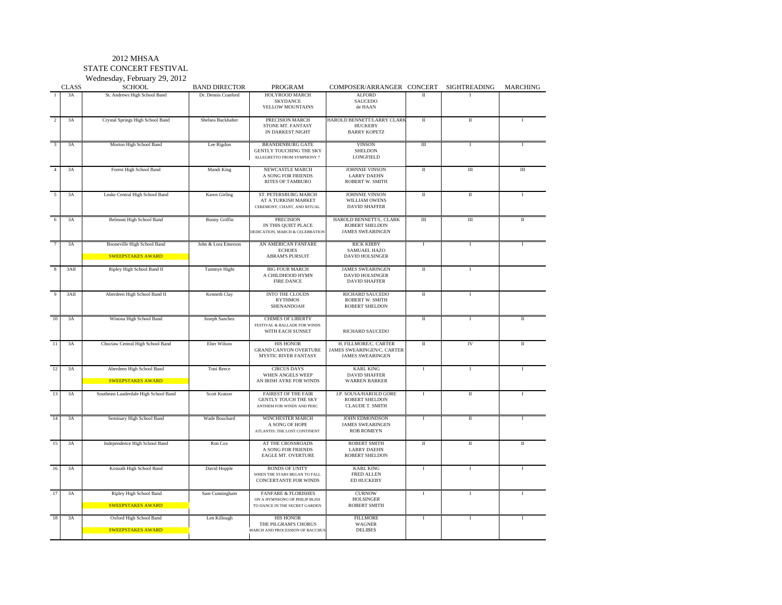#### 2012 MHSAA

STATE CONCERT FESTIVAL

Wednesday, February 29, 2012

|                         | <b>CLASS</b> | $m$ cuncsuay, i coruary 27, 2012<br><b>SCHOOL</b>       | <b>BAND DIRECTOR</b> | <b>PROGRAM</b>                                                                                   | COMPOSER/ARRANGER CONCERT                                                      |              | SIGHTREADING            | MARCHING     |
|-------------------------|--------------|---------------------------------------------------------|----------------------|--------------------------------------------------------------------------------------------------|--------------------------------------------------------------------------------|--------------|-------------------------|--------------|
| $\mathbf{1}$            | 3A           | St. Andrews High School Band                            | Dr. Dennis Cranford  | HOLYROOD MARCH<br><b>SKYDANCE</b><br>YELLOW MOUNTAINS                                            | <b>ALFORD</b><br>SAUCEDO<br>de HAAN                                            | $\Pi$        |                         |              |
| $\overline{2}$          | 3A           | Crystal Springs High School Band                        | Shelsea Buckhalter   | PRECISION MARCH<br>STONE MT. FANTASY<br>IN DARKEST NIGHT                                         | HAROLD BENNETT/LARRY CLARK<br><b>HUCKEBY</b><br><b>BARRY KOPETZ</b>            | $\rm{II}$    | $\rm{II}$               |              |
| $\overline{\mathbf{3}}$ | 3A           | Morton High School Band                                 | Lee Rigdon           | <b>BRANDENBURG GATE</b><br><b>GENTLY TOUCHING THE SKY</b><br>ALLEGRETTO FROM SYMPHONY 7          | <b>VINSON</b><br><b>SHELDON</b><br><b>LONGFIELD</b>                            | Ш            | $\rm I$                 | $\mathbf{I}$ |
| $\overline{4}$          | 3A           | Forest High School Band                                 | Mandi King           | NEWCASTLE MARCH<br>A SONG FOR FRIENDS<br><b>RITES OF TAMBURO</b>                                 | <b>JOHNNIE VINSON</b><br><b>LARRY DAEHN</b><br><b>ROBERT W. SMITH</b>          | $\rm II$     | $\rm III$               | $\rm III$    |
| 5                       | 3A           | Leake Central High School Band                          | Karen Girling        | ST. PETERSBURG MARCH<br>AT A TURKISH MARKET<br>CEREMONY, CHANT, AND RITUAL                       | <b>JOHNNIE VINSON</b><br>WILLIAM OWENS<br><b>DAVID SHAFFER</b>                 | $\rm II$     | $\overline{\rm{II}}$    |              |
| 6                       | 3A           | Belmont High School Band                                | Ronny Griffin        | <b>PRECISION</b><br>IN THIS QUIET PLACE<br>DEDICATION, MARCH & CELEBRATION                       | HAROLD BENNETT/L. CLARK<br>ROBERT SHELDON<br><b>JAMES SWEARINGEN</b>           | Ш            | $\rm III$               | $\mathbf{H}$ |
| 7                       | 3A           | Booneville High School Band<br><b>SWEEPSTAKES AWARD</b> | John & Lora Emerson  | AN AMERICAN FANFARE<br><b>ECHOES</b><br><b>ABRAM'S PURSUIT</b>                                   | <b>RICK KIRBY</b><br>SAMUAEL HAZO<br><b>DAVID HOLSINGER</b>                    | $\mathbf I$  | $\mathbf I$             |              |
| 8                       | 3AII         | Ripley High School Band II                              | Tammye Hight         | <b>BIG FOUR MARCH</b><br>A CHILDHOOD HYMN<br><b>FIRE DANCE</b>                                   | <b>JAMES SWEARINGEN</b><br><b>DAVID HOLSINGER</b><br><b>DAVID SHAFFER</b>      | $\rm II$     | $\mathbf{I}$            |              |
| 9                       | 3AII         | Aberdeen High School Band II                            | Kenneth Clay         | <b>INTO THE CLOUDS</b><br><b>RYTHMOS</b><br>SHENANDOAH                                           | RICHARD SAUCEDO<br>ROBERT W. SMITH<br>ROBERT SHELDON                           | П            | $\mathbf I$             |              |
| 10                      | 3A           | Winona High School Band                                 | Joseph Sanchez       | <b>CHIMES OF LIBERTY</b><br>FESTIVAL & BALLADE FOR WINDS<br>WITH EACH SUNSET                     | RICHARD SAUCEDO                                                                | $\rm II$     | $\mathbf{I}$            | $\rm II$     |
| 11                      | 3A           | Choctaw Central High School Band                        | Elter Wilson         | <b>HIS HONOR</b><br><b>GRAND CANYON OVERTURE</b><br>MYSTIC RIVER FANTASY                         | H. FILLMORE/C. CARTER<br>JAMES SWEARINGEN/C. CARTER<br><b>JAMES SWEARINGEN</b> | $\rm II$     | IV                      | $\mathbf{I}$ |
| 12                      | 3A           | Aberdeen High School Band<br><b>SWEEPSTAKES AWARD</b>   | Toni Reece           | <b>CIRCUS DAYS</b><br>WHEN ANGELS WEEP<br>AN IRISH AYRE FOR WINDS                                | <b>KARL KING</b><br><b>DAVID SHAFFER</b><br><b>WARREN BARKER</b>               | $\bf{I}$     | $\mathbf{I}$            |              |
| 13                      | 3A           | Southeast Lauderdale High School Band                   | Scott Kratzer        | <b>FAIREST OF THE FAIR</b><br><b>GENTLY TOUCH THE SKY</b><br>ANTHEM FOR WINDS AND PERC           | J.P. SOUSA/HAROLD GORE<br><b>ROBERT SHELDON</b><br><b>CLAUDE T. SMITH</b>      | $\bf{I}$     | $\;$ II                 |              |
| 14                      | 3A           | Seminary High School Band                               | Wade Bouchard        | WINCHESTER MARCH<br>A SONG OF HOPE<br>ATLANTIS: THE LOST CONTINENT                               | JOHN EDMONDSON<br><b>JAMES SWEARINGEN</b><br><b>ROB ROMEYN</b>                 | $\bf{I}$     | $\rm{II}$               |              |
| 15                      | 3A           | Independence High School Band                           | Ron Cox              | AT THE CROSSROADS<br>A SONG FOR FRIENDS<br><b>EAGLE MT. OVERTURE</b>                             | <b>ROBERT SMITH</b><br><b>LARRY DAEHN</b><br><b>ROBERT SHELDON</b>             | $\mathbf{I}$ | $\overline{\mathbf{u}}$ | $\mathbf{H}$ |
| 16                      | 3A           | Kossuth High School Band                                | David Hopple         | <b>BONDS OF UNITY</b><br>WHEN THE STARS BEGAN TO FALL<br><b>CONCERTANTE FOR WINDS</b>            | <b>KARL KING</b><br><b>FRED ALLEN</b><br>ED HUCKEBY                            | $\mathbf{I}$ | $\mathbf{I}$            | $\mathbf{I}$ |
| 17                      | 3A           | Ripley High School Band<br><b>SWEEPSTAKES AWARD</b>     | Sam Cunningham       | <b>FANFARE &amp; FLORISHES</b><br>ON A HYMNSONG OF PHILIP BLISS<br>TO DANCE IN THE SECRET GARDEN | <b>CURNOW</b><br><b>HOLSINGER</b><br><b>ROBERT SMITH</b>                       | $\mathbf{I}$ | $\mathbf I$             | $\mathbf{I}$ |
| 18                      | 3A           | Oxford High School Band<br><b>SWEEPSTAKES AWARD</b>     | Len Killough         | <b>HIS HONOR</b><br>THE PILGRAM'S CHORUS<br>MARCH AND PROCESSION OF BACCHUS                      | <b>FILLMORE</b><br>WAGNER<br><b>DELIBES</b>                                    | $\;$ I       | I                       | $\mathbf{I}$ |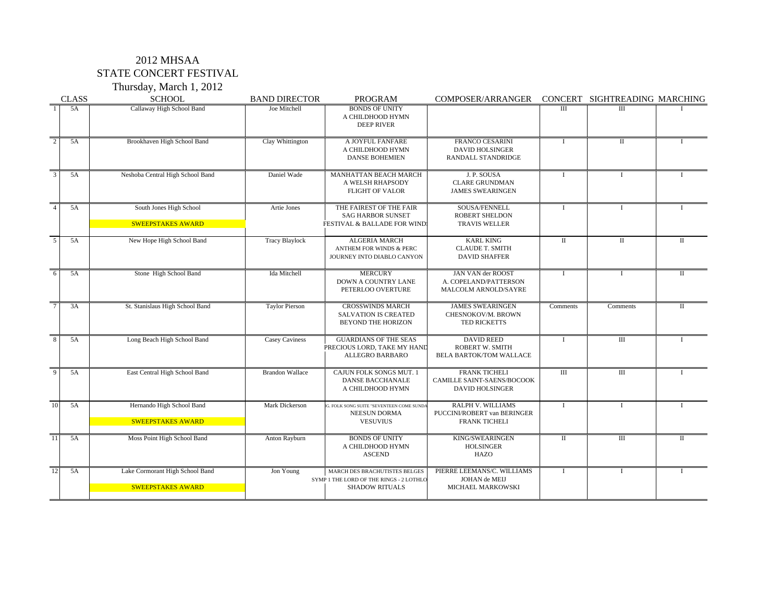## 2012 MHSAA STATE CONCERT FESTIVAL

Thursday, March 1, 2012

| <b>CLASS</b>    |    | <b>SCHOOL</b><br><b>BAND DIRECTOR</b>                       |                        | <b>PROGRAM</b>                                                                                    | <b>COMPOSER/ARRANGER</b>                                                      |                         | CONCERT SIGHTREADING MARCHING |                         |
|-----------------|----|-------------------------------------------------------------|------------------------|---------------------------------------------------------------------------------------------------|-------------------------------------------------------------------------------|-------------------------|-------------------------------|-------------------------|
|                 | 5A | Callaway High School Band                                   | Joe Mitchell           | <b>BONDS OF UNITY</b><br>A CHILDHOOD HYMN<br><b>DEEP RIVER</b>                                    |                                                                               | III                     | III                           |                         |
|                 | 5A | Brookhaven High School Band                                 | Clay Whittington       | A JOYFUL FANFARE<br>A CHILDHOOD HYMN<br><b>DANSE BOHEMIEN</b>                                     | <b>FRANCO CESARINI</b><br><b>DAVID HOLSINGER</b><br>RANDALL STANDRIDGE        | $\mathbf I$             | $\mathbf{I}$                  | $\mathbf{I}$            |
| 3               | 5A | Neshoba Central High School Band                            | Daniel Wade            | <b>MANHATTAN BEACH MARCH</b><br>A WELSH RHAPSODY<br><b>FLIGHT OF VALOR</b>                        | J. P. SOUSA<br><b>CLARE GRUNDMAN</b><br><b>JAMES SWEARINGEN</b>               | $\mathbf I$             | $\mathbf{I}$                  | $\mathbf{I}$            |
|                 | 5A | South Jones High School<br><b>SWEEPSTAKES AWARD</b>         | Artie Jones            | THE FAIREST OF THE FAIR<br><b>SAG HARBOR SUNSET</b><br>FESTIVAL & BALLADE FOR WIND                | SOUSA/FENNELL<br><b>ROBERT SHELDON</b><br><b>TRAVIS WELLER</b>                | $\mathbf I$             | $\mathbf{I}$                  | $\mathbf{I}$            |
| $\overline{5}$  | 5A | New Hope High School Band                                   | <b>Tracy Blaylock</b>  | <b>ALGERIA MARCH</b><br><b>ANTHEM FOR WINDS &amp; PERC</b><br>JOURNEY INTO DIABLO CANYON          | <b>KARL KING</b><br><b>CLAUDE T. SMITH</b><br><b>DAVID SHAFFER</b>            | $\overline{\mathbf{u}}$ | $\mathbf{I}$                  | $\mathbf{I}$            |
| $\overline{6}$  | 5A | Stone High School Band                                      | <b>Ida Mitchell</b>    | <b>MERCURY</b><br><b>DOWN A COUNTRY LANE</b><br>PETERLOO OVERTURE                                 | <b>JAN VAN der ROOST</b><br>A. COPELAND/PATTERSON<br>MALCOLM ARNOLD/SAYRE     | $\mathbf I$             |                               | $\mathbf{I}$            |
|                 | 3A | St. Stanislaus High School Band                             | <b>Taylor Pierson</b>  | <b>CROSSWINDS MARCH</b><br><b>SALVATION IS CREATED</b><br>BEYOND THE HORIZON                      | <b>JAMES SWEARINGEN</b><br>CHESNOKOV/M. BROWN<br>TED RICKETTS                 | Comments                | Comments                      | $\overline{\mathbf{u}}$ |
| $\overline{8}$  | 5A | Long Beach High School Band                                 | <b>Casey Caviness</b>  | <b>GUARDIANS OF THE SEAS</b><br>PRECIOUS LORD, TAKE MY HAND<br>ALLEGRO BARBARO                    | <b>DAVID REED</b><br><b>ROBERT W. SMITH</b><br><b>BELA BARTOK/TOM WALLACE</b> | $\mathbf I$             | $\overline{III}$              |                         |
| $\overline{Q}$  | 5A | East Central High School Band                               | <b>Brandon Wallace</b> | CAJUN FOLK SONGS MUT. 1<br><b>DANSE BACCHANALE</b><br>A CHILDHOOD HYMN                            | <b>FRANK TICHELI</b><br>CAMILLE SAINT-SAENS/BOCOOK<br><b>DAVID HOLSINGER</b>  | $\overline{III}$        | $\overline{III}$              | $\mathbf{I}$            |
| $\overline{10}$ | 5A | Hernando High School Band<br><b>SWEEPSTAKES AWARD</b>       | Mark Dickerson         | G. FOLK SONG SUITE "SEVENTEEN COME SUNDA<br><b>NEESUN DORMA</b><br><b>VESUVIUS</b>                | RALPH V. WILLIAMS<br>PUCCINI/ROBERT van BERINGER<br><b>FRANK TICHELI</b>      | $\bf{I}$                | $\mathbf{I}$                  | $\bf{I}$                |
| $\overline{11}$ | 5A | Moss Point High School Band                                 | Anton Rayburn          | <b>BONDS OF UNITY</b><br>A CHILDHOOD HYMN<br><b>ASCEND</b>                                        | KING/SWEARINGEN<br><b>HOLSINGER</b><br><b>HAZO</b>                            | $\overline{\mathbf{u}}$ | $\overline{III}$              | $\overline{\mathbf{u}}$ |
| <sup>12</sup>   | 5A | Lake Cormorant High School Band<br><b>SWEEPSTAKES AWARD</b> | Jon Young              | MARCH DES BRACHUTISTES BELGES<br>SYMP 1 THE LORD OF THE RINGS - 2 LOTHLO<br><b>SHADOW RITUALS</b> | PIERRE LEEMANS/C. WILLIAMS<br>JOHAN de MEIJ<br>MICHAEL MARKOWSKI              | $\bf{I}$                |                               | T                       |